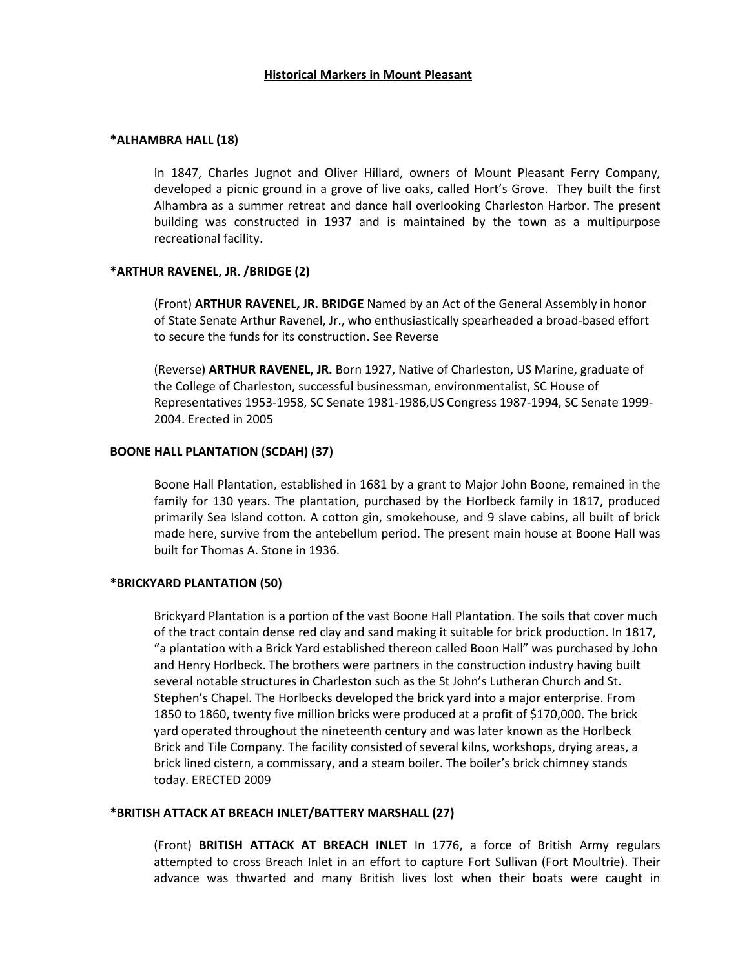### **\*ALHAMBRA HALL (18)**

In 1847, Charles Jugnot and Oliver Hillard, owners of Mount Pleasant Ferry Company, developed a picnic ground in a grove of live oaks, called Hort's Grove. They built the first Alhambra as a summer retreat and dance hall overlooking Charleston Harbor. The present building was constructed in 1937 and is maintained by the town as a multipurpose recreational facility.

## **\*ARTHUR RAVENEL, JR. /BRIDGE (2)**

(Front) **ARTHUR RAVENEL, JR. BRIDGE** Named by an Act of the General Assembly in honor of State Senate Arthur Ravenel, Jr., who enthusiastically spearheaded a broad-based effort to secure the funds for its construction. See Reverse

(Reverse) **ARTHUR RAVENEL, JR.** Born 1927, Native of Charleston, US Marine, graduate of the College of Charleston, successful businessman, environmentalist, SC House of Representatives 1953-1958, SC Senate 1981-1986,US Congress 1987-1994, SC Senate 1999- 2004. Erected in 2005

## **BOONE HALL PLANTATION (SCDAH) (37)**

Boone Hall Plantation, established in 1681 by a grant to Major John Boone, remained in the family for 130 years. The plantation, purchased by the Horlbeck family in 1817, produced primarily Sea Island cotton. A cotton gin, smokehouse, and 9 slave cabins, all built of brick made here, survive from the antebellum period. The present main house at Boone Hall was built for Thomas A. Stone in 1936.

### **\*BRICKYARD PLANTATION (50)**

Brickyard Plantation is a portion of the vast Boone Hall Plantation. The soils that cover much of the tract contain dense red clay and sand making it suitable for brick production. In 1817, "a plantation with a Brick Yard established thereon called Boon Hall" was purchased by John and Henry Horlbeck. The brothers were partners in the construction industry having built several notable structures in Charleston such as the St John's Lutheran Church and St. Stephen's Chapel. The Horlbecks developed the brick yard into a major enterprise. From 1850 to 1860, twenty five million bricks were produced at a profit of \$170,000. The brick yard operated throughout the nineteenth century and was later known as the Horlbeck Brick and Tile Company. The facility consisted of several kilns, workshops, drying areas, a brick lined cistern, a commissary, and a steam boiler. The boiler's brick chimney stands today. ERECTED 2009

### **\*BRITISH ATTACK AT BREACH INLET/BATTERY MARSHALL (27)**

(Front) **BRITISH ATTACK AT BREACH INLET** In 1776, a force of British Army regulars attempted to cross Breach Inlet in an effort to capture Fort Sullivan (Fort Moultrie). Their advance was thwarted and many British lives lost when their boats were caught in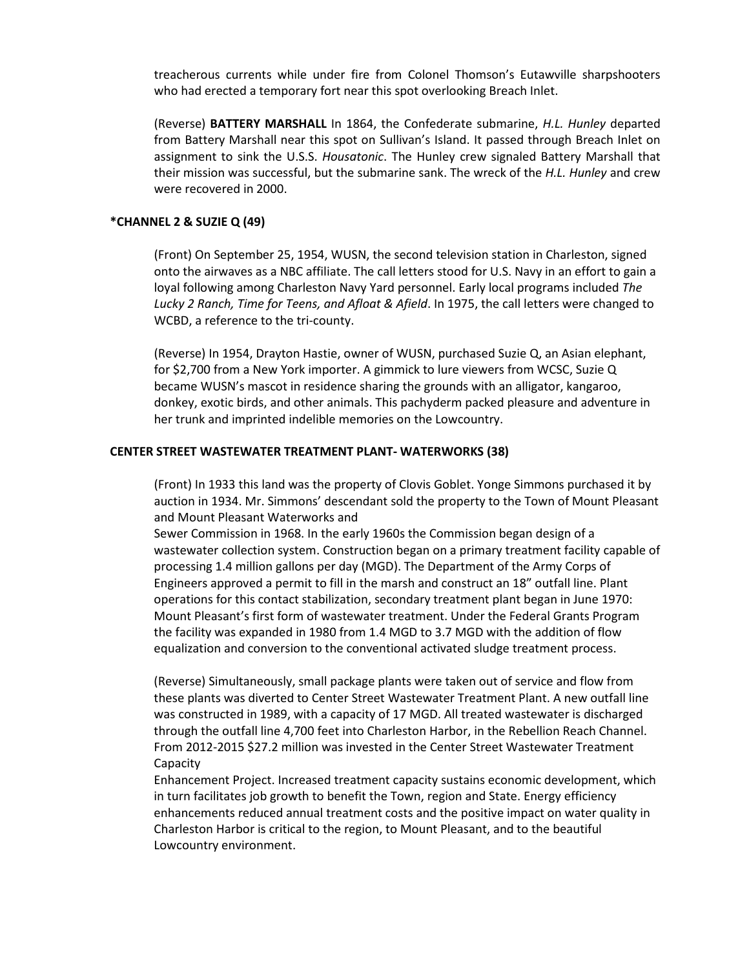treacherous currents while under fire from Colonel Thomson's Eutawville sharpshooters who had erected a temporary fort near this spot overlooking Breach Inlet.

(Reverse) **BATTERY MARSHALL** In 1864, the Confederate submarine, *H.L. Hunley* departed from Battery Marshall near this spot on Sullivan's Island. It passed through Breach Inlet on assignment to sink the U.S.S. *Housatonic*. The Hunley crew signaled Battery Marshall that their mission was successful, but the submarine sank. The wreck of the *H.L. Hunley* and crew were recovered in 2000.

### **\*CHANNEL 2 & SUZIE Q (49)**

(Front) On September 25, 1954, WUSN, the second television station in Charleston, signed onto the airwaves as a NBC affiliate. The call letters stood for U.S. Navy in an effort to gain a loyal following among Charleston Navy Yard personnel. Early local programs included *The Lucky 2 Ranch, Time for Teens, and Afloat & Afield*. In 1975, the call letters were changed to WCBD, a reference to the tri-county.

(Reverse) In 1954, Drayton Hastie, owner of WUSN, purchased Suzie Q, an Asian elephant, for \$2,700 from a New York importer. A gimmick to lure viewers from WCSC, Suzie Q became WUSN's mascot in residence sharing the grounds with an alligator, kangaroo, donkey, exotic birds, and other animals. This pachyderm packed pleasure and adventure in her trunk and imprinted indelible memories on the Lowcountry.

#### **CENTER STREET WASTEWATER TREATMENT PLANT- WATERWORKS (38)**

(Front) In 1933 this land was the property of Clovis Goblet. Yonge Simmons purchased it by auction in 1934. Mr. Simmons' descendant sold the property to the Town of Mount Pleasant and Mount Pleasant Waterworks and

Sewer Commission in 1968. In the early 1960s the Commission began design of a wastewater collection system. Construction began on a primary treatment facility capable of processing 1.4 million gallons per day (MGD). The Department of the Army Corps of Engineers approved a permit to fill in the marsh and construct an 18" outfall line. Plant operations for this contact stabilization, secondary treatment plant began in June 1970: Mount Pleasant's first form of wastewater treatment. Under the Federal Grants Program the facility was expanded in 1980 from 1.4 MGD to 3.7 MGD with the addition of flow equalization and conversion to the conventional activated sludge treatment process.

(Reverse) Simultaneously, small package plants were taken out of service and flow from these plants was diverted to Center Street Wastewater Treatment Plant. A new outfall line was constructed in 1989, with a capacity of 17 MGD. All treated wastewater is discharged through the outfall line 4,700 feet into Charleston Harbor, in the Rebellion Reach Channel. From 2012-2015 \$27.2 million was invested in the Center Street Wastewater Treatment Capacity

Enhancement Project. Increased treatment capacity sustains economic development, which in turn facilitates job growth to benefit the Town, region and State. Energy efficiency enhancements reduced annual treatment costs and the positive impact on water quality in Charleston Harbor is critical to the region, to Mount Pleasant, and to the beautiful Lowcountry environment.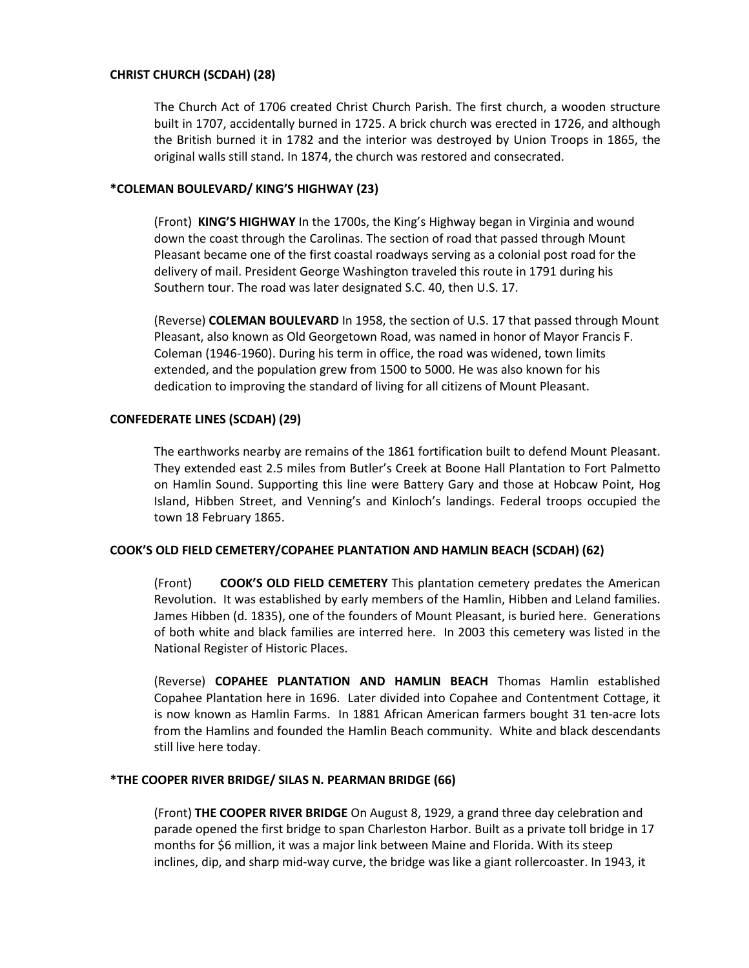## **CHRIST CHURCH (SCDAH) (28)**

The Church Act of 1706 created Christ Church Parish. The first church, a wooden structure built in 1707, accidentally burned in 1725. A brick church was erected in 1726, and although the British burned it in 1782 and the interior was destroyed by Union Troops in 1865, the original walls still stand. In 1874, the church was restored and consecrated.

## **\*COLEMAN BOULEVARD/ KING'S HIGHWAY (23)**

(Front) **KING'S HIGHWAY** In the 1700s, the King's Highway began in Virginia and wound down the coast through the Carolinas. The section of road that passed through Mount Pleasant became one of the first coastal roadways serving as a colonial post road for the delivery of mail. President George Washington traveled this route in 1791 during his Southern tour. The road was later designated S.C. 40, then U.S. 17.

(Reverse) **COLEMAN BOULEVARD** In 1958, the section of U.S. 17 that passed through Mount Pleasant, also known as Old Georgetown Road, was named in honor of Mayor Francis F. Coleman (1946-1960). During his term in office, the road was widened, town limits extended, and the population grew from 1500 to 5000. He was also known for his dedication to improving the standard of living for all citizens of Mount Pleasant.

# **CONFEDERATE LINES (SCDAH) (29)**

The earthworks nearby are remains of the 1861 fortification built to defend Mount Pleasant. They extended east 2.5 miles from Butler's Creek at Boone Hall Plantation to Fort Palmetto on Hamlin Sound. Supporting this line were Battery Gary and those at Hobcaw Point, Hog Island, Hibben Street, and Venning's and Kinloch's landings. Federal troops occupied the town 18 February 1865.

# **COOK'S OLD FIELD CEMETERY/COPAHEE PLANTATION AND HAMLIN BEACH (SCDAH) (62)**

(Front) **COOK'S OLD FIELD CEMETERY** This plantation cemetery predates the American Revolution. It was established by early members of the Hamlin, Hibben and Leland families. James Hibben (d. 1835), one of the founders of Mount Pleasant, is buried here. Generations of both white and black families are interred here. In 2003 this cemetery was listed in the National Register of Historic Places.

(Reverse) **COPAHEE PLANTATION AND HAMLIN BEACH** Thomas Hamlin established Copahee Plantation here in 1696. Later divided into Copahee and Contentment Cottage, it is now known as Hamlin Farms. In 1881 African American farmers bought 31 ten-acre lots from the Hamlins and founded the Hamlin Beach community. White and black descendants still live here today.

# **\*THE COOPER RIVER BRIDGE/ SILAS N. PEARMAN BRIDGE (66)**

(Front) **THE COOPER RIVER BRIDGE** On August 8, 1929, a grand three day celebration and parade opened the first bridge to span Charleston Harbor. Built as a private toll bridge in 17 months for \$6 million, it was a major link between Maine and Florida. With its steep inclines, dip, and sharp mid-way curve, the bridge was like a giant rollercoaster. In 1943, it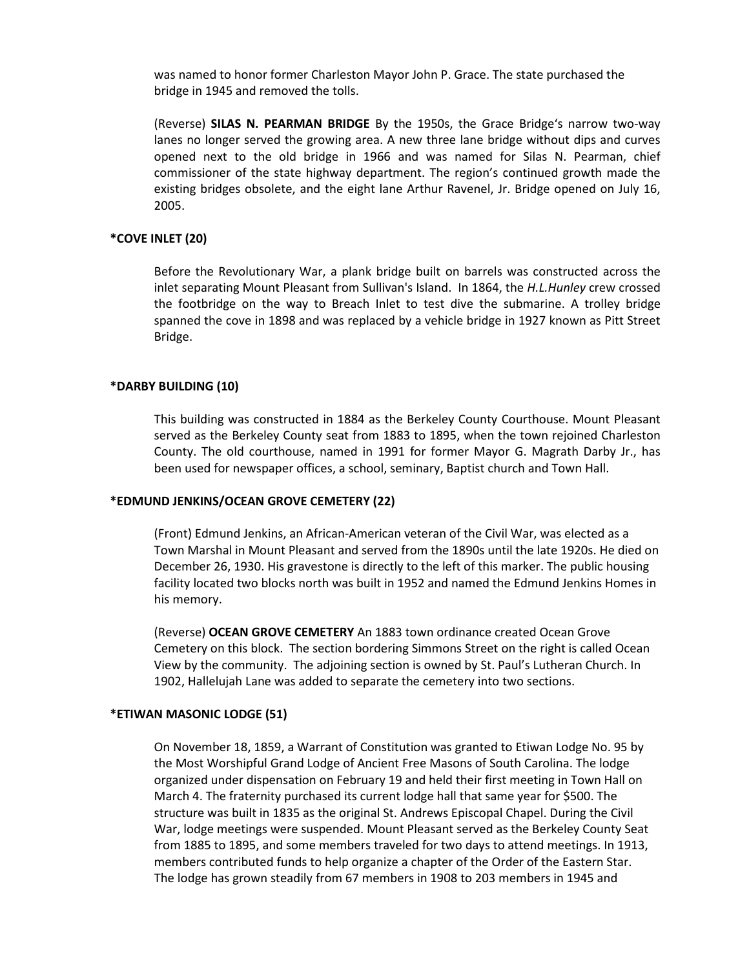was named to honor former Charleston Mayor John P. Grace. The state purchased the bridge in 1945 and removed the tolls.

(Reverse) **SILAS N. PEARMAN BRIDGE** By the 1950s, the Grace Bridge's narrow two-way lanes no longer served the growing area. A new three lane bridge without dips and curves opened next to the old bridge in 1966 and was named for Silas N. Pearman, chief commissioner of the state highway department. The region's continued growth made the existing bridges obsolete, and the eight lane Arthur Ravenel, Jr. Bridge opened on July 16, 2005.

#### **\*COVE INLET (20)**

Before the Revolutionary War, a plank bridge built on barrels was constructed across the inlet separating Mount Pleasant from Sullivan's Island. In 1864, the *H.L.Hunley* crew crossed the footbridge on the way to Breach Inlet to test dive the submarine. A trolley bridge spanned the cove in 1898 and was replaced by a vehicle bridge in 1927 known as Pitt Street Bridge.

#### **\*DARBY BUILDING (10)**

This building was constructed in 1884 as the Berkeley County Courthouse. Mount Pleasant served as the Berkeley County seat from 1883 to 1895, when the town rejoined Charleston County. The old courthouse, named in 1991 for former Mayor G. Magrath Darby Jr., has been used for newspaper offices, a school, seminary, Baptist church and Town Hall.

#### **\*EDMUND JENKINS/OCEAN GROVE CEMETERY (22)**

(Front) Edmund Jenkins, an African-American veteran of the Civil War, was elected as a Town Marshal in Mount Pleasant and served from the 1890s until the late 1920s. He died on December 26, 1930. His gravestone is directly to the left of this marker. The public housing facility located two blocks north was built in 1952 and named the Edmund Jenkins Homes in his memory.

(Reverse) **OCEAN GROVE CEMETERY** An 1883 town ordinance created Ocean Grove Cemetery on this block. The section bordering Simmons Street on the right is called Ocean View by the community. The adjoining section is owned by St. Paul's Lutheran Church. In 1902, Hallelujah Lane was added to separate the cemetery into two sections.

#### **\*ETIWAN MASONIC LODGE (51)**

On November 18, 1859, a Warrant of Constitution was granted to Etiwan Lodge No. 95 by the Most Worshipful Grand Lodge of Ancient Free Masons of South Carolina. The lodge organized under dispensation on February 19 and held their first meeting in Town Hall on March 4. The fraternity purchased its current lodge hall that same year for \$500. The structure was built in 1835 as the original St. Andrews Episcopal Chapel. During the Civil War, lodge meetings were suspended. Mount Pleasant served as the Berkeley County Seat from 1885 to 1895, and some members traveled for two days to attend meetings. In 1913, members contributed funds to help organize a chapter of the Order of the Eastern Star. The lodge has grown steadily from 67 members in 1908 to 203 members in 1945 and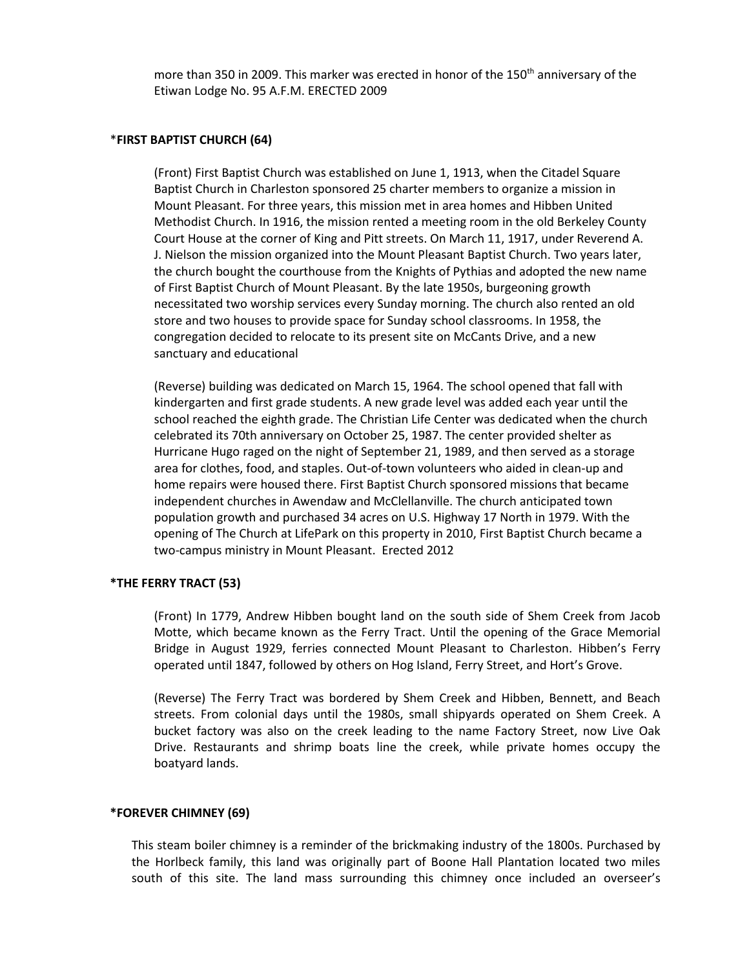more than 350 in 2009. This marker was erected in honor of the 150<sup>th</sup> anniversary of the Etiwan Lodge No. 95 A.F.M. ERECTED 2009

#### \***FIRST BAPTIST CHURCH (64)**

(Front) First Baptist Church was established on June 1, 1913, when the Citadel Square Baptist Church in Charleston sponsored 25 charter members to organize a mission in Mount Pleasant. For three years, this mission met in area homes and Hibben United Methodist Church. In 1916, the mission rented a meeting room in the old Berkeley County Court House at the corner of King and Pitt streets. On March 11, 1917, under Reverend A. J. Nielson the mission organized into the Mount Pleasant Baptist Church. Two years later, the church bought the courthouse from the Knights of Pythias and adopted the new name of First Baptist Church of Mount Pleasant. By the late 1950s, burgeoning growth necessitated two worship services every Sunday morning. The church also rented an old store and two houses to provide space for Sunday school classrooms. In 1958, the congregation decided to relocate to its present site on McCants Drive, and a new sanctuary and educational

(Reverse) building was dedicated on March 15, 1964. The school opened that fall with kindergarten and first grade students. A new grade level was added each year until the school reached the eighth grade. The Christian Life Center was dedicated when the church celebrated its 70th anniversary on October 25, 1987. The center provided shelter as Hurricane Hugo raged on the night of September 21, 1989, and then served as a storage area for clothes, food, and staples. Out-of-town volunteers who aided in clean-up and home repairs were housed there. First Baptist Church sponsored missions that became independent churches in Awendaw and McClellanville. The church anticipated town population growth and purchased 34 acres on U.S. Highway 17 North in 1979. With the opening of The Church at LifePark on this property in 2010, First Baptist Church became a two-campus ministry in Mount Pleasant. Erected 2012

### **\*THE FERRY TRACT (53)**

(Front) In 1779, Andrew Hibben bought land on the south side of Shem Creek from Jacob Motte, which became known as the Ferry Tract. Until the opening of the Grace Memorial Bridge in August 1929, ferries connected Mount Pleasant to Charleston. Hibben's Ferry operated until 1847, followed by others on Hog Island, Ferry Street, and Hort's Grove.

(Reverse) The Ferry Tract was bordered by Shem Creek and Hibben, Bennett, and Beach streets. From colonial days until the 1980s, small shipyards operated on Shem Creek. A bucket factory was also on the creek leading to the name Factory Street, now Live Oak Drive. Restaurants and shrimp boats line the creek, while private homes occupy the boatyard lands.

### **\*FOREVER CHIMNEY (69)**

This steam boiler chimney is a reminder of the brickmaking industry of the 1800s. Purchased by the Horlbeck family, this land was originally part of Boone Hall Plantation located two miles south of this site. The land mass surrounding this chimney once included an overseer's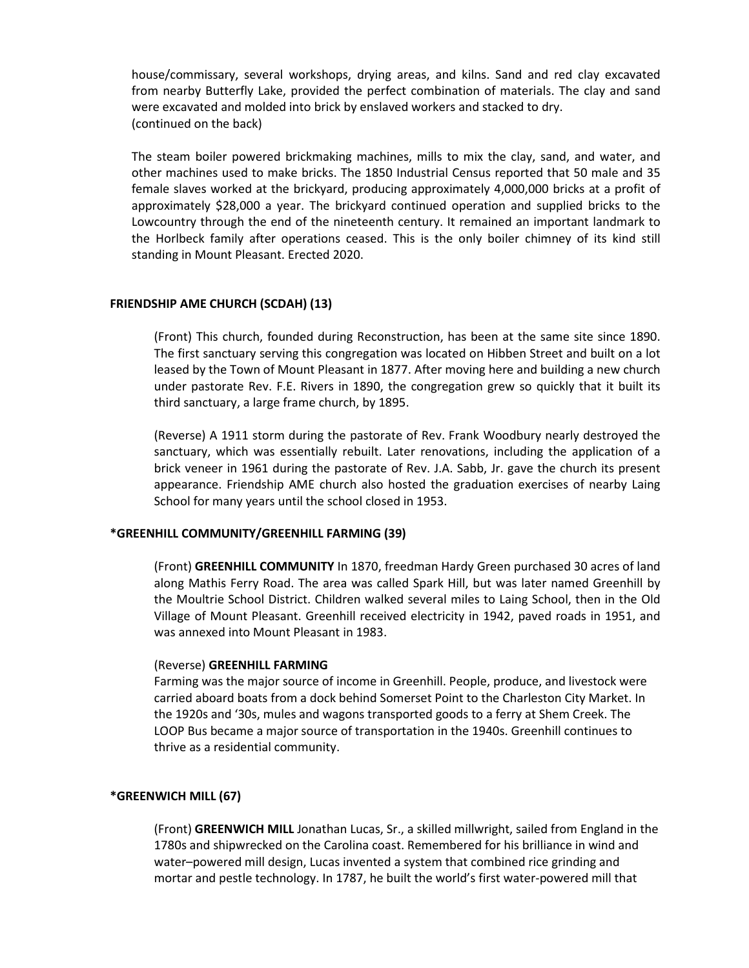house/commissary, several workshops, drying areas, and kilns. Sand and red clay excavated from nearby Butterfly Lake, provided the perfect combination of materials. The clay and sand were excavated and molded into brick by enslaved workers and stacked to dry. (continued on the back)

The steam boiler powered brickmaking machines, mills to mix the clay, sand, and water, and other machines used to make bricks. The 1850 Industrial Census reported that 50 male and 35 female slaves worked at the brickyard, producing approximately 4,000,000 bricks at a profit of approximately \$28,000 a year. The brickyard continued operation and supplied bricks to the Lowcountry through the end of the nineteenth century. It remained an important landmark to the Horlbeck family after operations ceased. This is the only boiler chimney of its kind still standing in Mount Pleasant. Erected 2020.

## **FRIENDSHIP AME CHURCH (SCDAH) (13)**

(Front) This church, founded during Reconstruction, has been at the same site since 1890. The first sanctuary serving this congregation was located on Hibben Street and built on a lot leased by the Town of Mount Pleasant in 1877. After moving here and building a new church under pastorate Rev. F.E. Rivers in 1890, the congregation grew so quickly that it built its third sanctuary, a large frame church, by 1895.

(Reverse) A 1911 storm during the pastorate of Rev. Frank Woodbury nearly destroyed the sanctuary, which was essentially rebuilt. Later renovations, including the application of a brick veneer in 1961 during the pastorate of Rev. J.A. Sabb, Jr. gave the church its present appearance. Friendship AME church also hosted the graduation exercises of nearby Laing School for many years until the school closed in 1953.

### **\*GREENHILL COMMUNITY/GREENHILL FARMING (39)**

(Front) **GREENHILL COMMUNITY** In 1870, freedman Hardy Green purchased 30 acres of land along Mathis Ferry Road. The area was called Spark Hill, but was later named Greenhill by the Moultrie School District. Children walked several miles to Laing School, then in the Old Village of Mount Pleasant. Greenhill received electricity in 1942, paved roads in 1951, and was annexed into Mount Pleasant in 1983.

### (Reverse) **GREENHILL FARMING**

Farming was the major source of income in Greenhill. People, produce, and livestock were carried aboard boats from a dock behind Somerset Point to the Charleston City Market. In the 1920s and '30s, mules and wagons transported goods to a ferry at Shem Creek. The LOOP Bus became a major source of transportation in the 1940s. Greenhill continues to thrive as a residential community.

# **\*GREENWICH MILL (67)**

(Front) **GREENWICH MILL** Jonathan Lucas, Sr., a skilled millwright, sailed from England in the 1780s and shipwrecked on the Carolina coast. Remembered for his brilliance in wind and water–powered mill design, Lucas invented a system that combined rice grinding and mortar and pestle technology. In 1787, he built the world's first water-powered mill that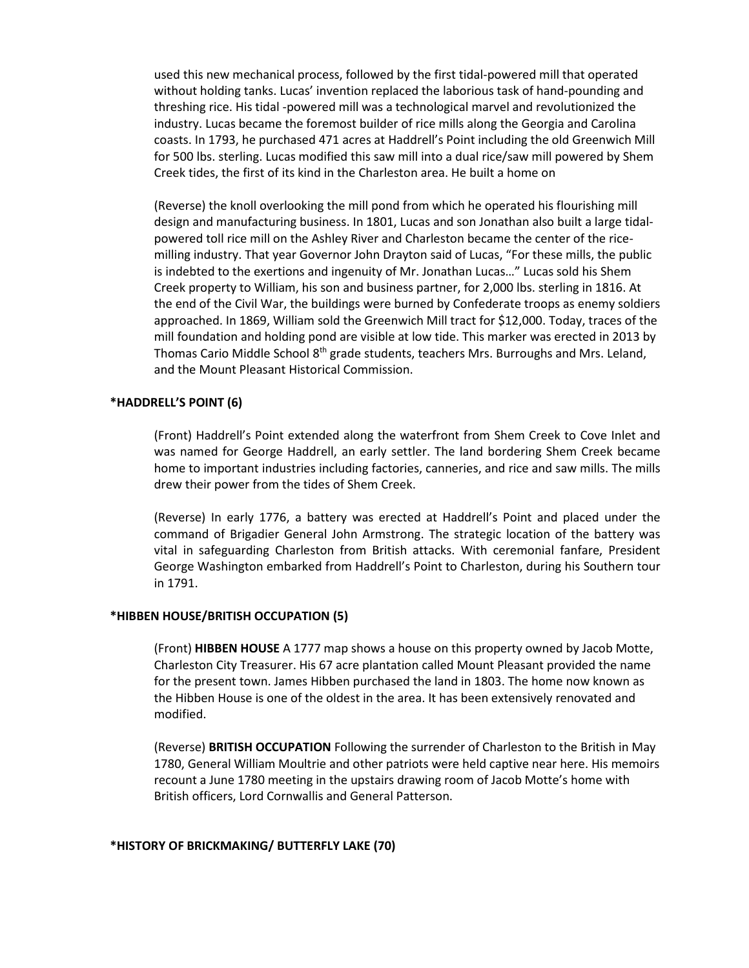used this new mechanical process, followed by the first tidal-powered mill that operated without holding tanks. Lucas' invention replaced the laborious task of hand-pounding and threshing rice. His tidal -powered mill was a technological marvel and revolutionized the industry. Lucas became the foremost builder of rice mills along the Georgia and Carolina coasts. In 1793, he purchased 471 acres at Haddrell's Point including the old Greenwich Mill for 500 lbs. sterling. Lucas modified this saw mill into a dual rice/saw mill powered by Shem Creek tides, the first of its kind in the Charleston area. He built a home on

(Reverse) the knoll overlooking the mill pond from which he operated his flourishing mill design and manufacturing business. In 1801, Lucas and son Jonathan also built a large tidalpowered toll rice mill on the Ashley River and Charleston became the center of the ricemilling industry. That year Governor John Drayton said of Lucas, "For these mills, the public is indebted to the exertions and ingenuity of Mr. Jonathan Lucas…" Lucas sold his Shem Creek property to William, his son and business partner, for 2,000 lbs. sterling in 1816. At the end of the Civil War, the buildings were burned by Confederate troops as enemy soldiers approached. In 1869, William sold the Greenwich Mill tract for \$12,000. Today, traces of the mill foundation and holding pond are visible at low tide. This marker was erected in 2013 by Thomas Cario Middle School 8th grade students, teachers Mrs. Burroughs and Mrs. Leland, and the Mount Pleasant Historical Commission.

### **\*HADDRELL'S POINT (6)**

(Front) Haddrell's Point extended along the waterfront from Shem Creek to Cove Inlet and was named for George Haddrell, an early settler. The land bordering Shem Creek became home to important industries including factories, canneries, and rice and saw mills. The mills drew their power from the tides of Shem Creek.

(Reverse) In early 1776, a battery was erected at Haddrell's Point and placed under the command of Brigadier General John Armstrong. The strategic location of the battery was vital in safeguarding Charleston from British attacks. With ceremonial fanfare, President George Washington embarked from Haddrell's Point to Charleston, during his Southern tour in 1791.

### **\*HIBBEN HOUSE/BRITISH OCCUPATION (5)**

(Front) **HIBBEN HOUSE** A 1777 map shows a house on this property owned by Jacob Motte, Charleston City Treasurer. His 67 acre plantation called Mount Pleasant provided the name for the present town. James Hibben purchased the land in 1803. The home now known as the Hibben House is one of the oldest in the area. It has been extensively renovated and modified.

(Reverse) **BRITISH OCCUPATION** Following the surrender of Charleston to the British in May 1780, General William Moultrie and other patriots were held captive near here. His memoirs recount a June 1780 meeting in the upstairs drawing room of Jacob Motte's home with British officers, Lord Cornwallis and General Patterson.

#### **\*HISTORY OF BRICKMAKING/ BUTTERFLY LAKE (70)**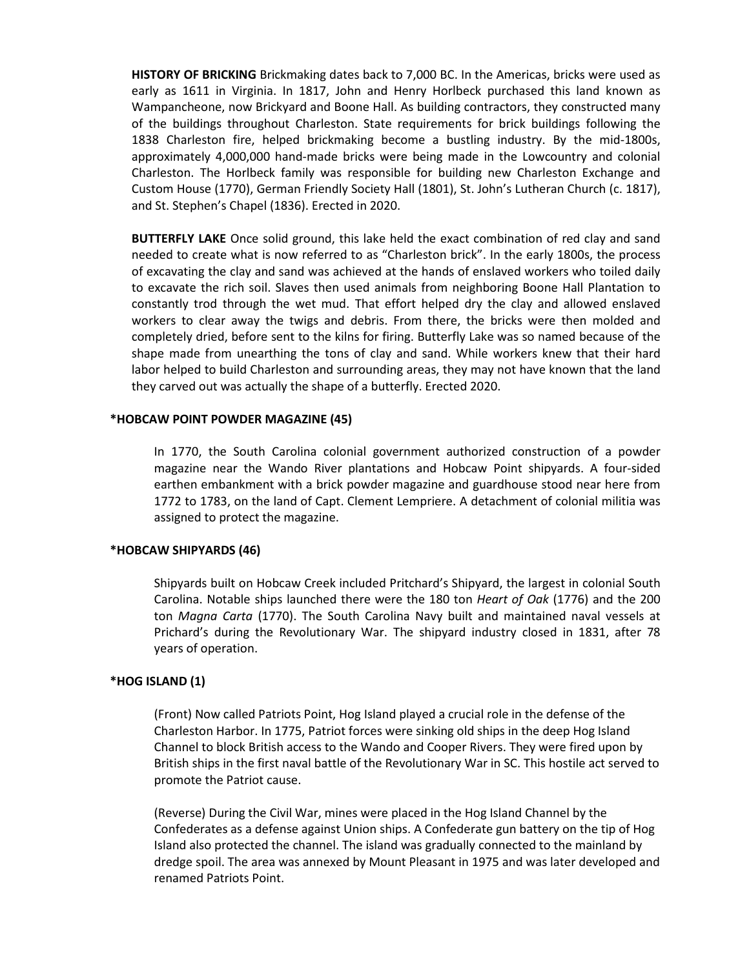**HISTORY OF BRICKING** Brickmaking dates back to 7,000 BC. In the Americas, bricks were used as early as 1611 in Virginia. In 1817, John and Henry Horlbeck purchased this land known as Wampancheone, now Brickyard and Boone Hall. As building contractors, they constructed many of the buildings throughout Charleston. State requirements for brick buildings following the 1838 Charleston fire, helped brickmaking become a bustling industry. By the mid-1800s, approximately 4,000,000 hand-made bricks were being made in the Lowcountry and colonial Charleston. The Horlbeck family was responsible for building new Charleston Exchange and Custom House (1770), German Friendly Society Hall (1801), St. John's Lutheran Church (c. 1817), and St. Stephen's Chapel (1836). Erected in 2020.

**BUTTERFLY LAKE** Once solid ground, this lake held the exact combination of red clay and sand needed to create what is now referred to as "Charleston brick". In the early 1800s, the process of excavating the clay and sand was achieved at the hands of enslaved workers who toiled daily to excavate the rich soil. Slaves then used animals from neighboring Boone Hall Plantation to constantly trod through the wet mud. That effort helped dry the clay and allowed enslaved workers to clear away the twigs and debris. From there, the bricks were then molded and completely dried, before sent to the kilns for firing. Butterfly Lake was so named because of the shape made from unearthing the tons of clay and sand. While workers knew that their hard labor helped to build Charleston and surrounding areas, they may not have known that the land they carved out was actually the shape of a butterfly. Erected 2020.

## **\*HOBCAW POINT POWDER MAGAZINE (45)**

In 1770, the South Carolina colonial government authorized construction of a powder magazine near the Wando River plantations and Hobcaw Point shipyards. A four-sided earthen embankment with a brick powder magazine and guardhouse stood near here from 1772 to 1783, on the land of Capt. Clement Lempriere. A detachment of colonial militia was assigned to protect the magazine.

### **\*HOBCAW SHIPYARDS (46)**

Shipyards built on Hobcaw Creek included Pritchard's Shipyard, the largest in colonial South Carolina. Notable ships launched there were the 180 ton *Heart of Oak* (1776) and the 200 ton *Magna Carta* (1770). The South Carolina Navy built and maintained naval vessels at Prichard's during the Revolutionary War. The shipyard industry closed in 1831, after 78 years of operation.

# **\*HOG ISLAND (1)**

(Front) Now called Patriots Point, Hog Island played a crucial role in the defense of the Charleston Harbor. In 1775, Patriot forces were sinking old ships in the deep Hog Island Channel to block British access to the Wando and Cooper Rivers. They were fired upon by British ships in the first naval battle of the Revolutionary War in SC. This hostile act served to promote the Patriot cause.

(Reverse) During the Civil War, mines were placed in the Hog Island Channel by the Confederates as a defense against Union ships. A Confederate gun battery on the tip of Hog Island also protected the channel. The island was gradually connected to the mainland by dredge spoil. The area was annexed by Mount Pleasant in 1975 and was later developed and renamed Patriots Point.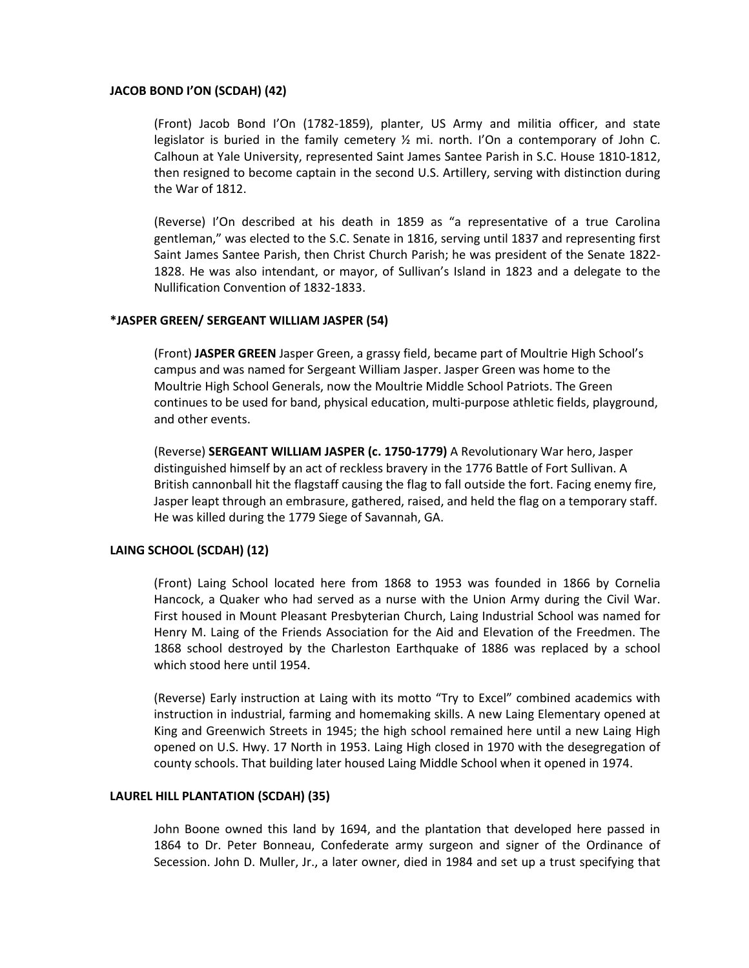### **JACOB BOND I'ON (SCDAH) (42)**

(Front) Jacob Bond I'On (1782-1859), planter, US Army and militia officer, and state legislator is buried in the family cemetery  $\frac{1}{2}$  mi. north. I'On a contemporary of John C. Calhoun at Yale University, represented Saint James Santee Parish in S.C. House 1810-1812, then resigned to become captain in the second U.S. Artillery, serving with distinction during the War of 1812.

(Reverse) I'On described at his death in 1859 as "a representative of a true Carolina gentleman," was elected to the S.C. Senate in 1816, serving until 1837 and representing first Saint James Santee Parish, then Christ Church Parish; he was president of the Senate 1822- 1828. He was also intendant, or mayor, of Sullivan's Island in 1823 and a delegate to the Nullification Convention of 1832-1833.

#### **\*JASPER GREEN/ SERGEANT WILLIAM JASPER (54)**

(Front) **JASPER GREEN** Jasper Green, a grassy field, became part of Moultrie High School's campus and was named for Sergeant William Jasper. Jasper Green was home to the Moultrie High School Generals, now the Moultrie Middle School Patriots. The Green continues to be used for band, physical education, multi-purpose athletic fields, playground, and other events.

(Reverse) **SERGEANT WILLIAM JASPER (c. 1750-1779)** A Revolutionary War hero, Jasper distinguished himself by an act of reckless bravery in the 1776 Battle of Fort Sullivan. A British cannonball hit the flagstaff causing the flag to fall outside the fort. Facing enemy fire, Jasper leapt through an embrasure, gathered, raised, and held the flag on a temporary staff. He was killed during the 1779 Siege of Savannah, GA.

### **LAING SCHOOL (SCDAH) (12)**

(Front) Laing School located here from 1868 to 1953 was founded in 1866 by Cornelia Hancock, a Quaker who had served as a nurse with the Union Army during the Civil War. First housed in Mount Pleasant Presbyterian Church, Laing Industrial School was named for Henry M. Laing of the Friends Association for the Aid and Elevation of the Freedmen. The 1868 school destroyed by the Charleston Earthquake of 1886 was replaced by a school which stood here until 1954.

(Reverse) Early instruction at Laing with its motto "Try to Excel" combined academics with instruction in industrial, farming and homemaking skills. A new Laing Elementary opened at King and Greenwich Streets in 1945; the high school remained here until a new Laing High opened on U.S. Hwy. 17 North in 1953. Laing High closed in 1970 with the desegregation of county schools. That building later housed Laing Middle School when it opened in 1974.

### **LAUREL HILL PLANTATION (SCDAH) (35)**

John Boone owned this land by 1694, and the plantation that developed here passed in 1864 to Dr. Peter Bonneau, Confederate army surgeon and signer of the Ordinance of Secession. John D. Muller, Jr., a later owner, died in 1984 and set up a trust specifying that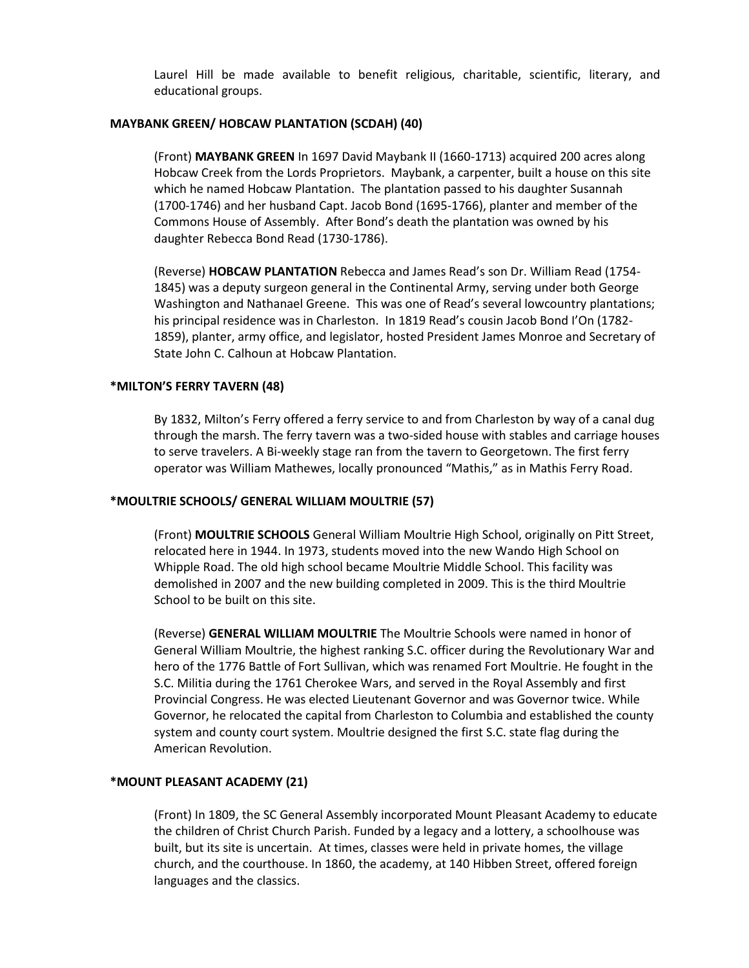Laurel Hill be made available to benefit religious, charitable, scientific, literary, and educational groups.

### **MAYBANK GREEN/ HOBCAW PLANTATION (SCDAH) (40)**

(Front) **MAYBANK GREEN** In 1697 David Maybank II (1660-1713) acquired 200 acres along Hobcaw Creek from the Lords Proprietors. Maybank, a carpenter, built a house on this site which he named Hobcaw Plantation. The plantation passed to his daughter Susannah (1700-1746) and her husband Capt. Jacob Bond (1695-1766), planter and member of the Commons House of Assembly. After Bond's death the plantation was owned by his daughter Rebecca Bond Read (1730-1786).

(Reverse) **HOBCAW PLANTATION** Rebecca and James Read's son Dr. William Read (1754- 1845) was a deputy surgeon general in the Continental Army, serving under both George Washington and Nathanael Greene. This was one of Read's several lowcountry plantations; his principal residence was in Charleston. In 1819 Read's cousin Jacob Bond I'On (1782- 1859), planter, army office, and legislator, hosted President James Monroe and Secretary of State John C. Calhoun at Hobcaw Plantation.

## **\*MILTON'S FERRY TAVERN (48)**

By 1832, Milton's Ferry offered a ferry service to and from Charleston by way of a canal dug through the marsh. The ferry tavern was a two-sided house with stables and carriage houses to serve travelers. A Bi-weekly stage ran from the tavern to Georgetown. The first ferry operator was William Mathewes, locally pronounced "Mathis," as in Mathis Ferry Road.

# **\*MOULTRIE SCHOOLS/ GENERAL WILLIAM MOULTRIE (57)**

(Front) **MOULTRIE SCHOOLS** General William Moultrie High School, originally on Pitt Street, relocated here in 1944. In 1973, students moved into the new Wando High School on Whipple Road. The old high school became Moultrie Middle School. This facility was demolished in 2007 and the new building completed in 2009. This is the third Moultrie School to be built on this site.

(Reverse) **GENERAL WILLIAM MOULTRIE** The Moultrie Schools were named in honor of General William Moultrie, the highest ranking S.C. officer during the Revolutionary War and hero of the 1776 Battle of Fort Sullivan, which was renamed Fort Moultrie. He fought in the S.C. Militia during the 1761 Cherokee Wars, and served in the Royal Assembly and first Provincial Congress. He was elected Lieutenant Governor and was Governor twice. While Governor, he relocated the capital from Charleston to Columbia and established the county system and county court system. Moultrie designed the first S.C. state flag during the American Revolution.

# **\*MOUNT PLEASANT ACADEMY (21)**

(Front) In 1809, the SC General Assembly incorporated Mount Pleasant Academy to educate the children of Christ Church Parish. Funded by a legacy and a lottery, a schoolhouse was built, but its site is uncertain. At times, classes were held in private homes, the village church, and the courthouse. In 1860, the academy, at 140 Hibben Street, offered foreign languages and the classics.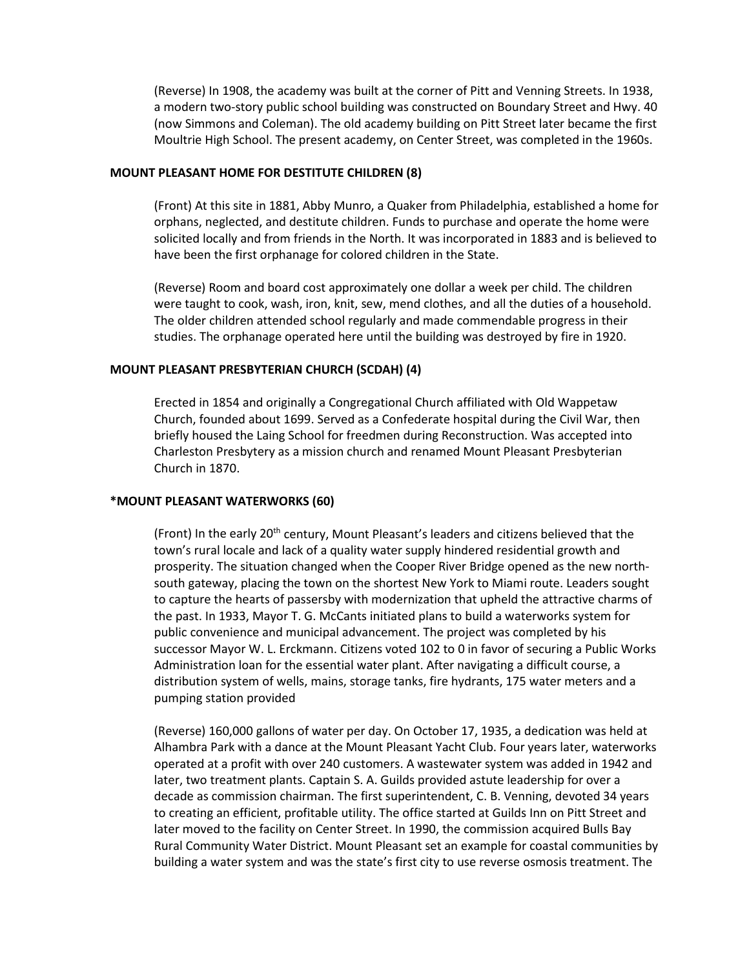(Reverse) In 1908, the academy was built at the corner of Pitt and Venning Streets. In 1938, a modern two-story public school building was constructed on Boundary Street and Hwy. 40 (now Simmons and Coleman). The old academy building on Pitt Street later became the first Moultrie High School. The present academy, on Center Street, was completed in the 1960s.

#### **MOUNT PLEASANT HOME FOR DESTITUTE CHILDREN (8)**

(Front) At this site in 1881, Abby Munro, a Quaker from Philadelphia, established a home for orphans, neglected, and destitute children. Funds to purchase and operate the home were solicited locally and from friends in the North. It was incorporated in 1883 and is believed to have been the first orphanage for colored children in the State.

(Reverse) Room and board cost approximately one dollar a week per child. The children were taught to cook, wash, iron, knit, sew, mend clothes, and all the duties of a household. The older children attended school regularly and made commendable progress in their studies. The orphanage operated here until the building was destroyed by fire in 1920.

### **MOUNT PLEASANT PRESBYTERIAN CHURCH (SCDAH) (4)**

Erected in 1854 and originally a Congregational Church affiliated with Old Wappetaw Church, founded about 1699. Served as a Confederate hospital during the Civil War, then briefly housed the Laing School for freedmen during Reconstruction. Was accepted into Charleston Presbytery as a mission church and renamed Mount Pleasant Presbyterian Church in 1870.

#### **\*MOUNT PLEASANT WATERWORKS (60)**

(Front) In the early 20th century, Mount Pleasant's leaders and citizens believed that the town's rural locale and lack of a quality water supply hindered residential growth and prosperity. The situation changed when the Cooper River Bridge opened as the new northsouth gateway, placing the town on the shortest New York to Miami route. Leaders sought to capture the hearts of passersby with modernization that upheld the attractive charms of the past. In 1933, Mayor T. G. McCants initiated plans to build a waterworks system for public convenience and municipal advancement. The project was completed by his successor Mayor W. L. Erckmann. Citizens voted 102 to 0 in favor of securing a Public Works Administration loan for the essential water plant. After navigating a difficult course, a distribution system of wells, mains, storage tanks, fire hydrants, 175 water meters and a pumping station provided

(Reverse) 160,000 gallons of water per day. On October 17, 1935, a dedication was held at Alhambra Park with a dance at the Mount Pleasant Yacht Club. Four years later, waterworks operated at a profit with over 240 customers. A wastewater system was added in 1942 and later, two treatment plants. Captain S. A. Guilds provided astute leadership for over a decade as commission chairman. The first superintendent, C. B. Venning, devoted 34 years to creating an efficient, profitable utility. The office started at Guilds Inn on Pitt Street and later moved to the facility on Center Street. In 1990, the commission acquired Bulls Bay Rural Community Water District. Mount Pleasant set an example for coastal communities by building a water system and was the state's first city to use reverse osmosis treatment. The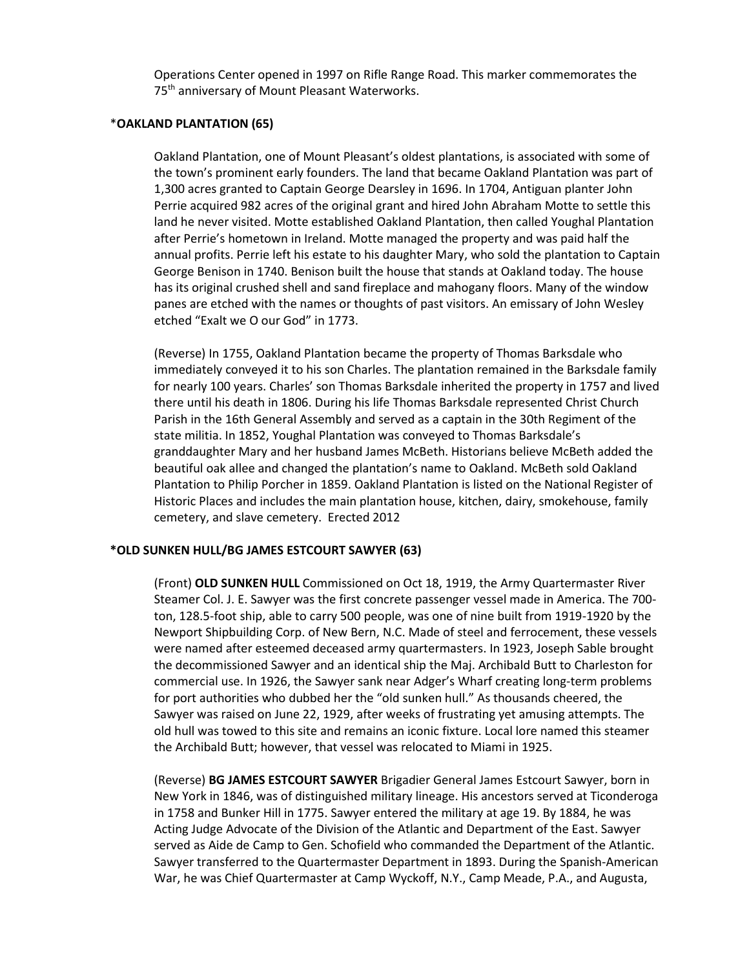Operations Center opened in 1997 on Rifle Range Road. This marker commemorates the 75<sup>th</sup> anniversary of Mount Pleasant Waterworks.

#### \***OAKLAND PLANTATION (65)**

Oakland Plantation, one of Mount Pleasant's oldest plantations, is associated with some of the town's prominent early founders. The land that became Oakland Plantation was part of 1,300 acres granted to Captain George Dearsley in 1696. In 1704, Antiguan planter John Perrie acquired 982 acres of the original grant and hired John Abraham Motte to settle this land he never visited. Motte established Oakland Plantation, then called Youghal Plantation after Perrie's hometown in Ireland. Motte managed the property and was paid half the annual profits. Perrie left his estate to his daughter Mary, who sold the plantation to Captain George Benison in 1740. Benison built the house that stands at Oakland today. The house has its original crushed shell and sand fireplace and mahogany floors. Many of the window panes are etched with the names or thoughts of past visitors. An emissary of John Wesley etched "Exalt we O our God" in 1773.

(Reverse) In 1755, Oakland Plantation became the property of Thomas Barksdale who immediately conveyed it to his son Charles. The plantation remained in the Barksdale family for nearly 100 years. Charles' son Thomas Barksdale inherited the property in 1757 and lived there until his death in 1806. During his life Thomas Barksdale represented Christ Church Parish in the 16th General Assembly and served as a captain in the 30th Regiment of the state militia. In 1852, Youghal Plantation was conveyed to Thomas Barksdale's granddaughter Mary and her husband James McBeth. Historians believe McBeth added the beautiful oak allee and changed the plantation's name to Oakland. McBeth sold Oakland Plantation to Philip Porcher in 1859. Oakland Plantation is listed on the National Register of Historic Places and includes the main plantation house, kitchen, dairy, smokehouse, family cemetery, and slave cemetery. Erected 2012

### **\*OLD SUNKEN HULL/BG JAMES ESTCOURT SAWYER (63)**

(Front) **OLD SUNKEN HULL** Commissioned on Oct 18, 1919, the Army Quartermaster River Steamer Col. J. E. Sawyer was the first concrete passenger vessel made in America. The 700 ton, 128.5-foot ship, able to carry 500 people, was one of nine built from 1919-1920 by the Newport Shipbuilding Corp. of New Bern, N.C. Made of steel and ferrocement, these vessels were named after esteemed deceased army quartermasters. In 1923, Joseph Sable brought the decommissioned Sawyer and an identical ship the Maj. Archibald Butt to Charleston for commercial use. In 1926, the Sawyer sank near Adger's Wharf creating long-term problems for port authorities who dubbed her the "old sunken hull." As thousands cheered, the Sawyer was raised on June 22, 1929, after weeks of frustrating yet amusing attempts. The old hull was towed to this site and remains an iconic fixture. Local lore named this steamer the Archibald Butt; however, that vessel was relocated to Miami in 1925.

(Reverse) **BG JAMES ESTCOURT SAWYER** Brigadier General James Estcourt Sawyer, born in New York in 1846, was of distinguished military lineage. His ancestors served at Ticonderoga in 1758 and Bunker Hill in 1775. Sawyer entered the military at age 19. By 1884, he was Acting Judge Advocate of the Division of the Atlantic and Department of the East. Sawyer served as Aide de Camp to Gen. Schofield who commanded the Department of the Atlantic. Sawyer transferred to the Quartermaster Department in 1893. During the Spanish-American War, he was Chief Quartermaster at Camp Wyckoff, N.Y., Camp Meade, P.A., and Augusta,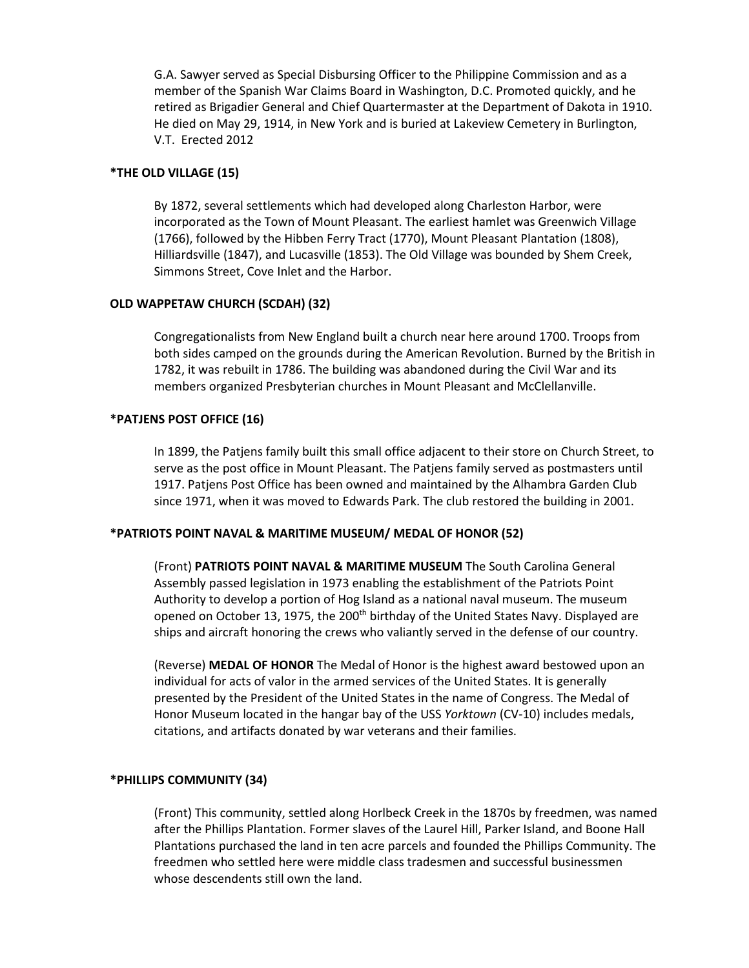G.A. Sawyer served as Special Disbursing Officer to the Philippine Commission and as a member of the Spanish War Claims Board in Washington, D.C. Promoted quickly, and he retired as Brigadier General and Chief Quartermaster at the Department of Dakota in 1910. He died on May 29, 1914, in New York and is buried at Lakeview Cemetery in Burlington, V.T. Erected 2012

## **\*THE OLD VILLAGE (15)**

By 1872, several settlements which had developed along Charleston Harbor, were incorporated as the Town of Mount Pleasant. The earliest hamlet was Greenwich Village (1766), followed by the Hibben Ferry Tract (1770), Mount Pleasant Plantation (1808), Hilliardsville (1847), and Lucasville (1853). The Old Village was bounded by Shem Creek, Simmons Street, Cove Inlet and the Harbor.

### **OLD WAPPETAW CHURCH (SCDAH) (32)**

Congregationalists from New England built a church near here around 1700. Troops from both sides camped on the grounds during the American Revolution. Burned by the British in 1782, it was rebuilt in 1786. The building was abandoned during the Civil War and its members organized Presbyterian churches in Mount Pleasant and McClellanville.

## **\*PATJENS POST OFFICE (16)**

In 1899, the Patjens family built this small office adjacent to their store on Church Street, to serve as the post office in Mount Pleasant. The Patjens family served as postmasters until 1917. Patjens Post Office has been owned and maintained by the Alhambra Garden Club since 1971, when it was moved to Edwards Park. The club restored the building in 2001.

### **\*PATRIOTS POINT NAVAL & MARITIME MUSEUM/ MEDAL OF HONOR (52)**

(Front) **PATRIOTS POINT NAVAL & MARITIME MUSEUM** The South Carolina General Assembly passed legislation in 1973 enabling the establishment of the Patriots Point Authority to develop a portion of Hog Island as a national naval museum. The museum opened on October 13, 1975, the 200<sup>th</sup> birthday of the United States Navy. Displayed are ships and aircraft honoring the crews who valiantly served in the defense of our country.

(Reverse) **MEDAL OF HONOR** The Medal of Honor is the highest award bestowed upon an individual for acts of valor in the armed services of the United States. It is generally presented by the President of the United States in the name of Congress. The Medal of Honor Museum located in the hangar bay of the USS *Yorktown* (CV-10) includes medals, citations, and artifacts donated by war veterans and their families.

### **\*PHILLIPS COMMUNITY (34)**

(Front) This community, settled along Horlbeck Creek in the 1870s by freedmen, was named after the Phillips Plantation. Former slaves of the Laurel Hill, Parker Island, and Boone Hall Plantations purchased the land in ten acre parcels and founded the Phillips Community. The freedmen who settled here were middle class tradesmen and successful businessmen whose descendents still own the land.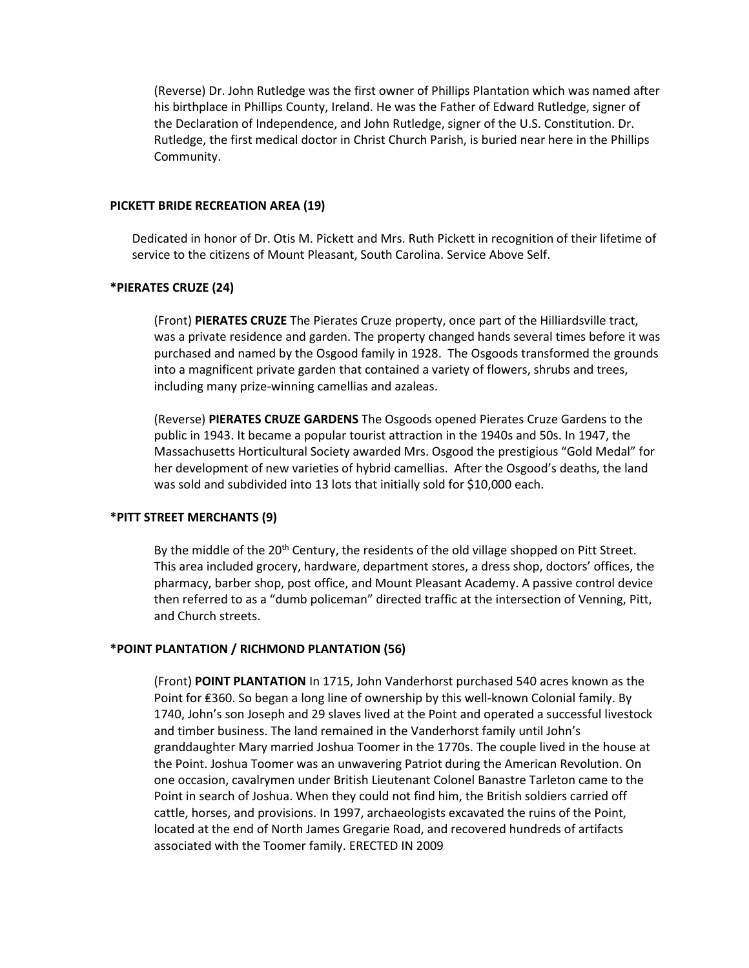(Reverse) Dr. John Rutledge was the first owner of Phillips Plantation which was named after his birthplace in Phillips County, Ireland. He was the Father of Edward Rutledge, signer of the Declaration of Independence, and John Rutledge, signer of the U.S. Constitution. Dr. Rutledge, the first medical doctor in Christ Church Parish, is buried near here in the Phillips Community.

#### **PICKETT BRIDE RECREATION AREA (19)**

Dedicated in honor of Dr. Otis M. Pickett and Mrs. Ruth Pickett in recognition of their lifetime of service to the citizens of Mount Pleasant, South Carolina. Service Above Self.

#### **\*PIERATES CRUZE (24)**

(Front) **PIERATES CRUZE** The Pierates Cruze property, once part of the Hilliardsville tract, was a private residence and garden. The property changed hands several times before it was purchased and named by the Osgood family in 1928. The Osgoods transformed the grounds into a magnificent private garden that contained a variety of flowers, shrubs and trees, including many prize-winning camellias and azaleas.

(Reverse) **PIERATES CRUZE GARDENS** The Osgoods opened Pierates Cruze Gardens to the public in 1943. It became a popular tourist attraction in the 1940s and 50s. In 1947, the Massachusetts Horticultural Society awarded Mrs. Osgood the prestigious "Gold Medal" for her development of new varieties of hybrid camellias. After the Osgood's deaths, the land was sold and subdivided into 13 lots that initially sold for \$10,000 each.

#### **\*PITT STREET MERCHANTS (9)**

By the middle of the 20<sup>th</sup> Century, the residents of the old village shopped on Pitt Street. This area included grocery, hardware, department stores, a dress shop, doctors' offices, the pharmacy, barber shop, post office, and Mount Pleasant Academy. A passive control device then referred to as a "dumb policeman" directed traffic at the intersection of Venning, Pitt, and Church streets.

#### **\*POINT PLANTATION / RICHMOND PLANTATION (56)**

(Front) **POINT PLANTATION** In 1715, John Vanderhorst purchased 540 acres known as the Point for ₤360. So began a long line of ownership by this well-known Colonial family. By 1740, John's son Joseph and 29 slaves lived at the Point and operated a successful livestock and timber business. The land remained in the Vanderhorst family until John's granddaughter Mary married Joshua Toomer in the 1770s. The couple lived in the house at the Point. Joshua Toomer was an unwavering Patriot during the American Revolution. On one occasion, cavalrymen under British Lieutenant Colonel Banastre Tarleton came to the Point in search of Joshua. When they could not find him, the British soldiers carried off cattle, horses, and provisions. In 1997, archaeologists excavated the ruins of the Point, located at the end of North James Gregarie Road, and recovered hundreds of artifacts associated with the Toomer family. ERECTED IN 2009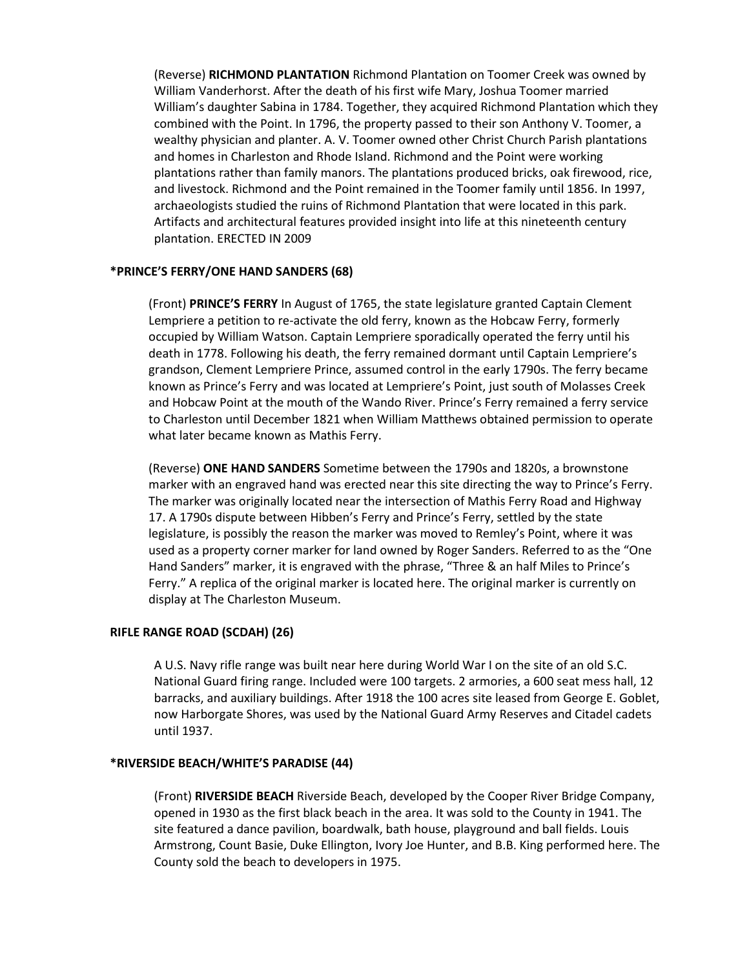(Reverse) **RICHMOND PLANTATION** Richmond Plantation on Toomer Creek was owned by William Vanderhorst. After the death of his first wife Mary, Joshua Toomer married William's daughter Sabina in 1784. Together, they acquired Richmond Plantation which they combined with the Point. In 1796, the property passed to their son Anthony V. Toomer, a wealthy physician and planter. A. V. Toomer owned other Christ Church Parish plantations and homes in Charleston and Rhode Island. Richmond and the Point were working plantations rather than family manors. The plantations produced bricks, oak firewood, rice, and livestock. Richmond and the Point remained in the Toomer family until 1856. In 1997, archaeologists studied the ruins of Richmond Plantation that were located in this park. Artifacts and architectural features provided insight into life at this nineteenth century plantation. ERECTED IN 2009

### **\*PRINCE'S FERRY/ONE HAND SANDERS (68)**

(Front) **PRINCE'S FERRY** In August of 1765, the state legislature granted Captain Clement Lempriere a petition to re-activate the old ferry, known as the Hobcaw Ferry, formerly occupied by William Watson. Captain Lempriere sporadically operated the ferry until his death in 1778. Following his death, the ferry remained dormant until Captain Lempriere's grandson, Clement Lempriere Prince, assumed control in the early 1790s. The ferry became known as Prince's Ferry and was located at Lempriere's Point, just south of Molasses Creek and Hobcaw Point at the mouth of the Wando River. Prince's Ferry remained a ferry service to Charleston until December 1821 when William Matthews obtained permission to operate what later became known as Mathis Ferry.

(Reverse) **ONE HAND SANDERS** Sometime between the 1790s and 1820s, a brownstone marker with an engraved hand was erected near this site directing the way to Prince's Ferry. The marker was originally located near the intersection of Mathis Ferry Road and Highway 17. A 1790s dispute between Hibben's Ferry and Prince's Ferry, settled by the state legislature, is possibly the reason the marker was moved to Remley's Point, where it was used as a property corner marker for land owned by Roger Sanders. Referred to as the "One Hand Sanders" marker, it is engraved with the phrase, "Three & an half Miles to Prince's Ferry." A replica of the original marker is located here. The original marker is currently on display at The Charleston Museum.

### **RIFLE RANGE ROAD (SCDAH) (26)**

A U.S. Navy rifle range was built near here during World War I on the site of an old S.C. National Guard firing range. Included were 100 targets. 2 armories, a 600 seat mess hall, 12 barracks, and auxiliary buildings. After 1918 the 100 acres site leased from George E. Goblet, now Harborgate Shores, was used by the National Guard Army Reserves and Citadel cadets until 1937.

### **\*RIVERSIDE BEACH/WHITE'S PARADISE (44)**

(Front) **RIVERSIDE BEACH** Riverside Beach, developed by the Cooper River Bridge Company, opened in 1930 as the first black beach in the area. It was sold to the County in 1941. The site featured a dance pavilion, boardwalk, bath house, playground and ball fields. Louis Armstrong, Count Basie, Duke Ellington, Ivory Joe Hunter, and B.B. King performed here. The County sold the beach to developers in 1975.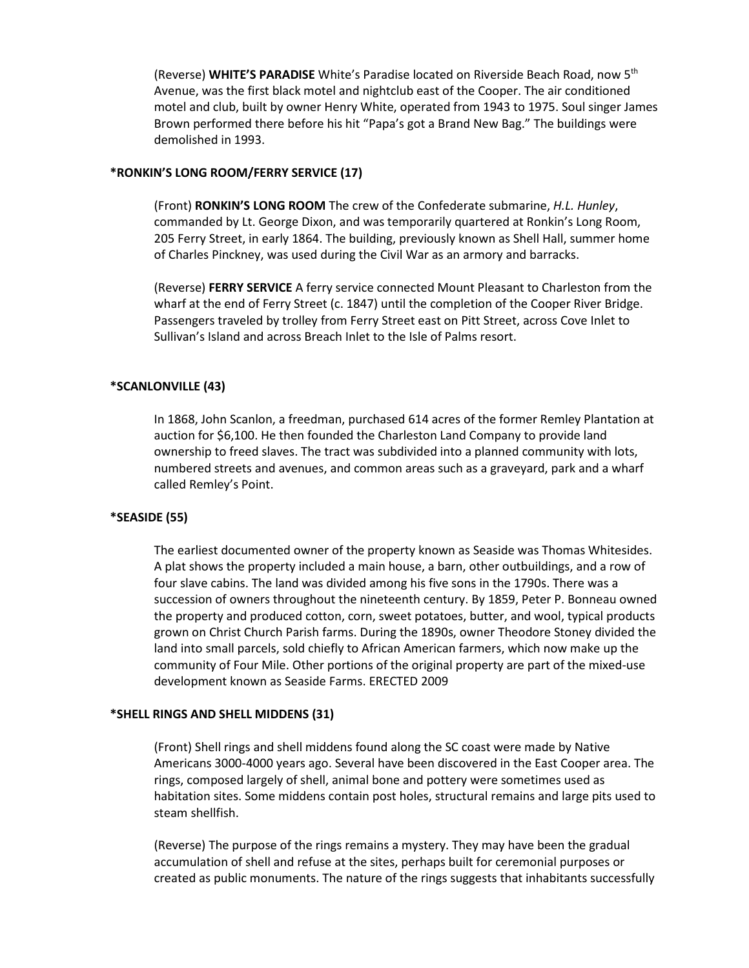(Reverse) **WHITE'S PARADISE** White's Paradise located on Riverside Beach Road, now 5th Avenue, was the first black motel and nightclub east of the Cooper. The air conditioned motel and club, built by owner Henry White, operated from 1943 to 1975. Soul singer James Brown performed there before his hit "Papa's got a Brand New Bag." The buildings were demolished in 1993.

# **\*RONKIN'S LONG ROOM/FERRY SERVICE (17)**

(Front) **RONKIN'S LONG ROOM** The crew of the Confederate submarine, *H.L. Hunley*, commanded by Lt. George Dixon, and was temporarily quartered at Ronkin's Long Room, 205 Ferry Street, in early 1864. The building, previously known as Shell Hall, summer home of Charles Pinckney, was used during the Civil War as an armory and barracks.

(Reverse) **FERRY SERVICE** A ferry service connected Mount Pleasant to Charleston from the wharf at the end of Ferry Street (c. 1847) until the completion of the Cooper River Bridge. Passengers traveled by trolley from Ferry Street east on Pitt Street, across Cove Inlet to Sullivan's Island and across Breach Inlet to the Isle of Palms resort.

### **\*SCANLONVILLE (43)**

In 1868, John Scanlon, a freedman, purchased 614 acres of the former Remley Plantation at auction for \$6,100. He then founded the Charleston Land Company to provide land ownership to freed slaves. The tract was subdivided into a planned community with lots, numbered streets and avenues, and common areas such as a graveyard, park and a wharf called Remley's Point.

#### **\*SEASIDE (55)**

The earliest documented owner of the property known as Seaside was Thomas Whitesides. A plat shows the property included a main house, a barn, other outbuildings, and a row of four slave cabins. The land was divided among his five sons in the 1790s. There was a succession of owners throughout the nineteenth century. By 1859, Peter P. Bonneau owned the property and produced cotton, corn, sweet potatoes, butter, and wool, typical products grown on Christ Church Parish farms. During the 1890s, owner Theodore Stoney divided the land into small parcels, sold chiefly to African American farmers, which now make up the community of Four Mile. Other portions of the original property are part of the mixed-use development known as Seaside Farms. ERECTED 2009

#### **\*SHELL RINGS AND SHELL MIDDENS (31)**

(Front) Shell rings and shell middens found along the SC coast were made by Native Americans 3000-4000 years ago. Several have been discovered in the East Cooper area. The rings, composed largely of shell, animal bone and pottery were sometimes used as habitation sites. Some middens contain post holes, structural remains and large pits used to steam shellfish.

(Reverse) The purpose of the rings remains a mystery. They may have been the gradual accumulation of shell and refuse at the sites, perhaps built for ceremonial purposes or created as public monuments. The nature of the rings suggests that inhabitants successfully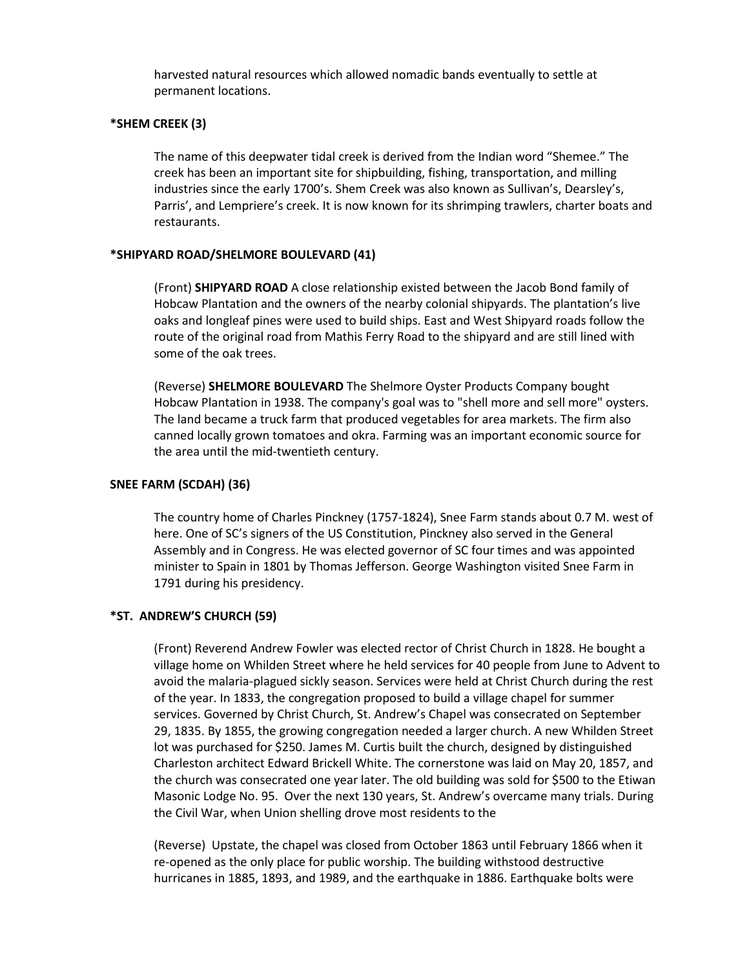harvested natural resources which allowed nomadic bands eventually to settle at permanent locations.

### **\*SHEM CREEK (3)**

The name of this deepwater tidal creek is derived from the Indian word "Shemee." The creek has been an important site for shipbuilding, fishing, transportation, and milling industries since the early 1700's. Shem Creek was also known as Sullivan's, Dearsley's, Parris', and Lempriere's creek. It is now known for its shrimping trawlers, charter boats and restaurants.

## **\*SHIPYARD ROAD/SHELMORE BOULEVARD (41)**

(Front) **SHIPYARD ROAD** A close relationship existed between the Jacob Bond family of Hobcaw Plantation and the owners of the nearby colonial shipyards. The plantation's live oaks and longleaf pines were used to build ships. East and West Shipyard roads follow the route of the original road from Mathis Ferry Road to the shipyard and are still lined with some of the oak trees.

(Reverse) **SHELMORE BOULEVARD** The Shelmore Oyster Products Company bought Hobcaw Plantation in 1938. The company's goal was to "shell more and sell more" oysters. The land became a truck farm that produced vegetables for area markets. The firm also canned locally grown tomatoes and okra. Farming was an important economic source for the area until the mid-twentieth century.

### **SNEE FARM (SCDAH) (36)**

The country home of Charles Pinckney (1757-1824), Snee Farm stands about 0.7 M. west of here. One of SC's signers of the US Constitution, Pinckney also served in the General Assembly and in Congress. He was elected governor of SC four times and was appointed minister to Spain in 1801 by Thomas Jefferson. George Washington visited Snee Farm in 1791 during his presidency.

### **\*ST. ANDREW'S CHURCH (59)**

(Front) Reverend Andrew Fowler was elected rector of Christ Church in 1828. He bought a village home on Whilden Street where he held services for 40 people from June to Advent to avoid the malaria-plagued sickly season. Services were held at Christ Church during the rest of the year. In 1833, the congregation proposed to build a village chapel for summer services. Governed by Christ Church, St. Andrew's Chapel was consecrated on September 29, 1835. By 1855, the growing congregation needed a larger church. A new Whilden Street lot was purchased for \$250. James M. Curtis built the church, designed by distinguished Charleston architect Edward Brickell White. The cornerstone was laid on May 20, 1857, and the church was consecrated one year later. The old building was sold for \$500 to the Etiwan Masonic Lodge No. 95. Over the next 130 years, St. Andrew's overcame many trials. During the Civil War, when Union shelling drove most residents to the

(Reverse) Upstate, the chapel was closed from October 1863 until February 1866 when it re-opened as the only place for public worship. The building withstood destructive hurricanes in 1885, 1893, and 1989, and the earthquake in 1886. Earthquake bolts were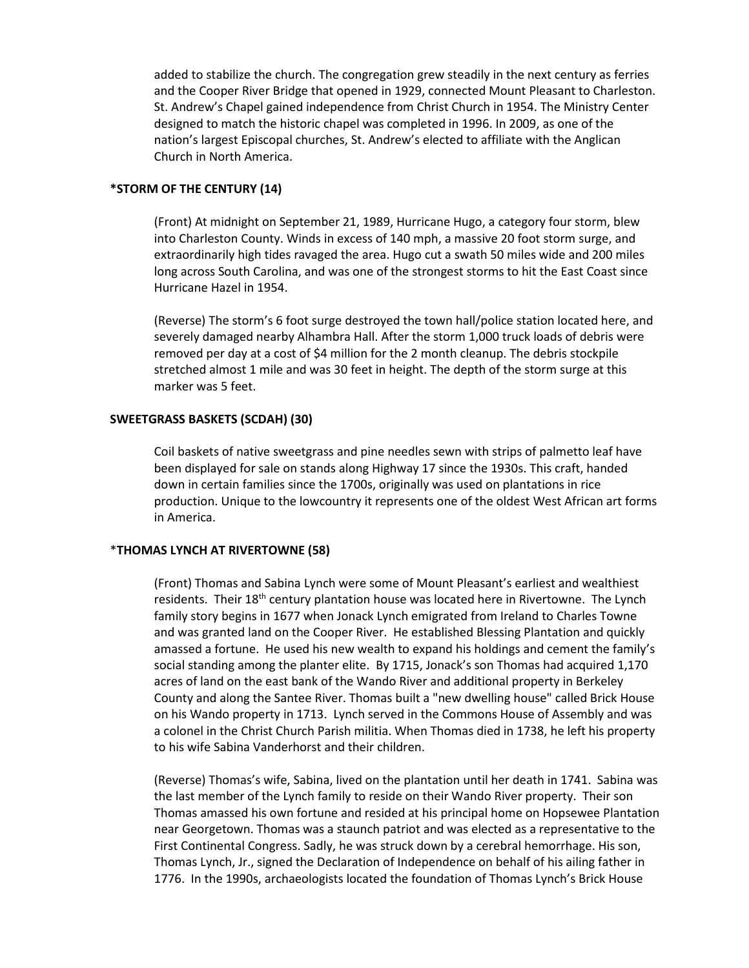added to stabilize the church. The congregation grew steadily in the next century as ferries and the Cooper River Bridge that opened in 1929, connected Mount Pleasant to Charleston. St. Andrew's Chapel gained independence from Christ Church in 1954. The Ministry Center designed to match the historic chapel was completed in 1996. In 2009, as one of the nation's largest Episcopal churches, St. Andrew's elected to affiliate with the Anglican Church in North America.

### **\*STORM OF THE CENTURY (14)**

(Front) At midnight on September 21, 1989, Hurricane Hugo, a category four storm, blew into Charleston County. Winds in excess of 140 mph, a massive 20 foot storm surge, and extraordinarily high tides ravaged the area. Hugo cut a swath 50 miles wide and 200 miles long across South Carolina, and was one of the strongest storms to hit the East Coast since Hurricane Hazel in 1954.

(Reverse) The storm's 6 foot surge destroyed the town hall/police station located here, and severely damaged nearby Alhambra Hall. After the storm 1,000 truck loads of debris were removed per day at a cost of \$4 million for the 2 month cleanup. The debris stockpile stretched almost 1 mile and was 30 feet in height. The depth of the storm surge at this marker was 5 feet.

# **SWEETGRASS BASKETS (SCDAH) (30)**

Coil baskets of native sweetgrass and pine needles sewn with strips of palmetto leaf have been displayed for sale on stands along Highway 17 since the 1930s. This craft, handed down in certain families since the 1700s, originally was used on plantations in rice production. Unique to the lowcountry it represents one of the oldest West African art forms in America.

# \***THOMAS LYNCH AT RIVERTOWNE (58)**

(Front) Thomas and Sabina Lynch were some of Mount Pleasant's earliest and wealthiest residents. Their 18<sup>th</sup> century plantation house was located here in Rivertowne. The Lynch family story begins in 1677 when Jonack Lynch emigrated from Ireland to Charles Towne and was granted land on the Cooper River. He established Blessing Plantation and quickly amassed a fortune. He used his new wealth to expand his holdings and cement the family's social standing among the planter elite. By 1715, Jonack's son Thomas had acquired 1,170 acres of land on the east bank of the Wando River and additional property in Berkeley County and along the Santee River. Thomas built a "new dwelling house" called Brick House on his Wando property in 1713. Lynch served in the Commons House of Assembly and was a colonel in the Christ Church Parish militia. When Thomas died in 1738, he left his property to his wife Sabina Vanderhorst and their children.

(Reverse) Thomas's wife, Sabina, lived on the plantation until her death in 1741. Sabina was the last member of the Lynch family to reside on their Wando River property. Their son Thomas amassed his own fortune and resided at his principal home on Hopsewee Plantation near Georgetown. Thomas was a staunch patriot and was elected as a representative to the First Continental Congress. Sadly, he was struck down by a cerebral hemorrhage. His son, Thomas Lynch, Jr., signed the Declaration of Independence on behalf of his ailing father in 1776. In the 1990s, archaeologists located the foundation of Thomas Lynch's Brick House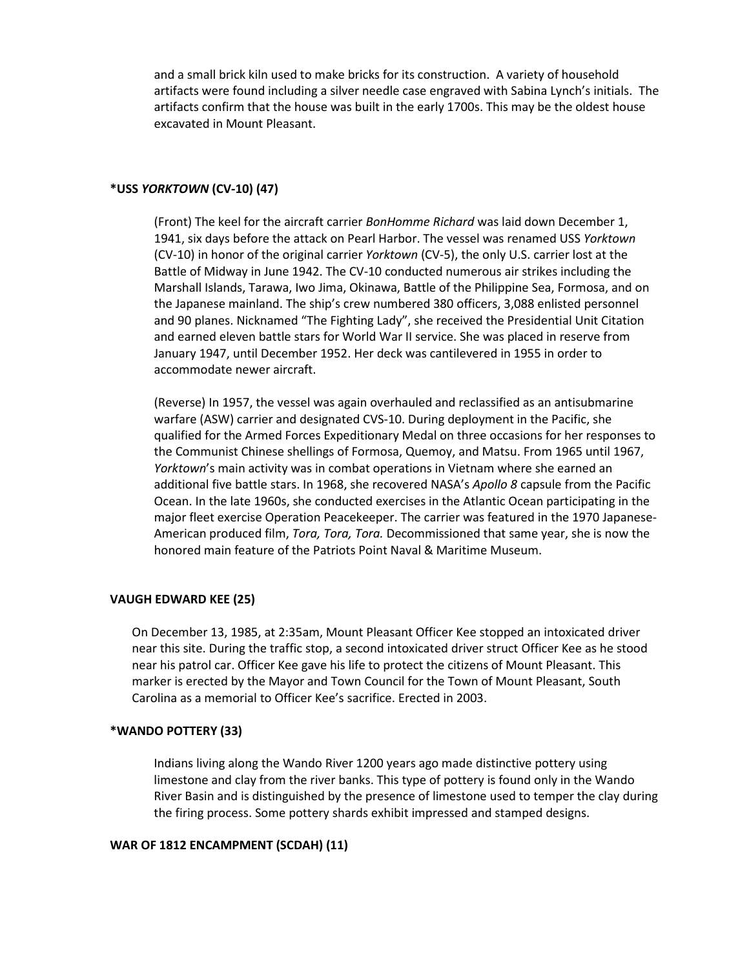and a small brick kiln used to make bricks for its construction. A variety of household artifacts were found including a silver needle case engraved with Sabina Lynch's initials. The artifacts confirm that the house was built in the early 1700s. This may be the oldest house excavated in Mount Pleasant.

### **\*USS** *YORKTOWN* **(CV-10) (47)**

(Front) The keel for the aircraft carrier *BonHomme Richard* was laid down December 1, 1941, six days before the attack on Pearl Harbor. The vessel was renamed USS *Yorktown* (CV-10) in honor of the original carrier *Yorktown* (CV-5), the only U.S. carrier lost at the Battle of Midway in June 1942. The CV-10 conducted numerous air strikes including the Marshall Islands, Tarawa, Iwo Jima, Okinawa, Battle of the Philippine Sea, Formosa, and on the Japanese mainland. The ship's crew numbered 380 officers, 3,088 enlisted personnel and 90 planes. Nicknamed "The Fighting Lady", she received the Presidential Unit Citation and earned eleven battle stars for World War II service. She was placed in reserve from January 1947, until December 1952. Her deck was cantilevered in 1955 in order to accommodate newer aircraft.

(Reverse) In 1957, the vessel was again overhauled and reclassified as an antisubmarine warfare (ASW) carrier and designated CVS-10. During deployment in the Pacific, she qualified for the Armed Forces Expeditionary Medal on three occasions for her responses to the Communist Chinese shellings of Formosa, Quemoy, and Matsu. From 1965 until 1967, *Yorktown*'s main activity was in combat operations in Vietnam where she earned an additional five battle stars. In 1968, she recovered NASA's *Apollo 8* capsule from the Pacific Ocean. In the late 1960s, she conducted exercises in the Atlantic Ocean participating in the major fleet exercise Operation Peacekeeper. The carrier was featured in the 1970 Japanese-American produced film, *Tora, Tora, Tora.* Decommissioned that same year, she is now the honored main feature of the Patriots Point Naval & Maritime Museum.

# **VAUGH EDWARD KEE (25)**

On December 13, 1985, at 2:35am, Mount Pleasant Officer Kee stopped an intoxicated driver near this site. During the traffic stop, a second intoxicated driver struct Officer Kee as he stood near his patrol car. Officer Kee gave his life to protect the citizens of Mount Pleasant. This marker is erected by the Mayor and Town Council for the Town of Mount Pleasant, South Carolina as a memorial to Officer Kee's sacrifice. Erected in 2003.

### **\*WANDO POTTERY (33)**

Indians living along the Wando River 1200 years ago made distinctive pottery using limestone and clay from the river banks. This type of pottery is found only in the Wando River Basin and is distinguished by the presence of limestone used to temper the clay during the firing process. Some pottery shards exhibit impressed and stamped designs.

### **WAR OF 1812 ENCAMPMENT (SCDAH) (11)**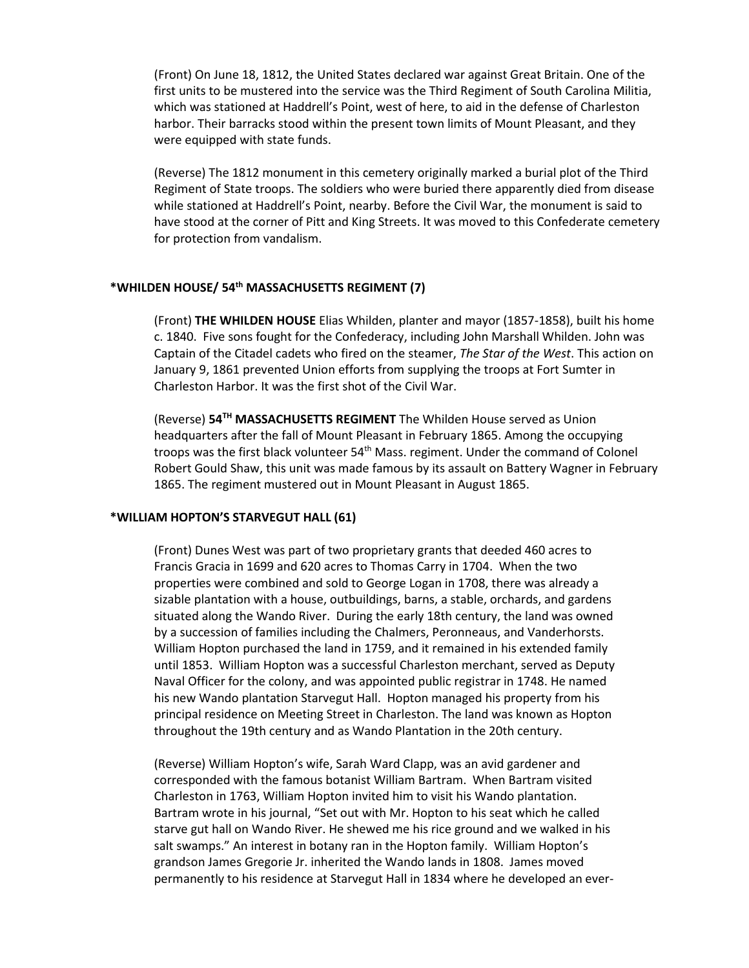(Front) On June 18, 1812, the United States declared war against Great Britain. One of the first units to be mustered into the service was the Third Regiment of South Carolina Militia, which was stationed at Haddrell's Point, west of here, to aid in the defense of Charleston harbor. Their barracks stood within the present town limits of Mount Pleasant, and they were equipped with state funds.

(Reverse) The 1812 monument in this cemetery originally marked a burial plot of the Third Regiment of State troops. The soldiers who were buried there apparently died from disease while stationed at Haddrell's Point, nearby. Before the Civil War, the monument is said to have stood at the corner of Pitt and King Streets. It was moved to this Confederate cemetery for protection from vandalism.

## **\*WHILDEN HOUSE/ 54th MASSACHUSETTS REGIMENT (7)**

(Front) **THE WHILDEN HOUSE** Elias Whilden, planter and mayor (1857-1858), built his home c. 1840. Five sons fought for the Confederacy, including John Marshall Whilden. John was Captain of the Citadel cadets who fired on the steamer, *The Star of the West*. This action on January 9, 1861 prevented Union efforts from supplying the troops at Fort Sumter in Charleston Harbor. It was the first shot of the Civil War.

(Reverse) **54TH MASSACHUSETTS REGIMENT** The Whilden House served as Union headquarters after the fall of Mount Pleasant in February 1865. Among the occupying troops was the first black volunteer 54th Mass. regiment. Under the command of Colonel Robert Gould Shaw, this unit was made famous by its assault on Battery Wagner in February 1865. The regiment mustered out in Mount Pleasant in August 1865.

#### **\*WILLIAM HOPTON'S STARVEGUT HALL (61)**

(Front) Dunes West was part of two proprietary grants that deeded 460 acres to Francis Gracia in 1699 and 620 acres to Thomas Carry in 1704. When the two properties were combined and sold to George Logan in 1708, there was already a sizable plantation with a house, outbuildings, barns, a stable, orchards, and gardens situated along the Wando River. During the early 18th century, the land was owned by a succession of families including the Chalmers, Peronneaus, and Vanderhorsts. William Hopton purchased the land in 1759, and it remained in his extended family until 1853. William Hopton was a successful Charleston merchant, served as Deputy Naval Officer for the colony, and was appointed public registrar in 1748. He named his new Wando plantation Starvegut Hall. Hopton managed his property from his principal residence on Meeting Street in Charleston. The land was known as Hopton throughout the 19th century and as Wando Plantation in the 20th century.

(Reverse) William Hopton's wife, Sarah Ward Clapp, was an avid gardener and corresponded with the famous botanist William Bartram. When Bartram visited Charleston in 1763, William Hopton invited him to visit his Wando plantation. Bartram wrote in his journal, "Set out with Mr. Hopton to his seat which he called starve gut hall on Wando River. He shewed me his rice ground and we walked in his salt swamps." An interest in botany ran in the Hopton family. William Hopton's grandson James Gregorie Jr. inherited the Wando lands in 1808. James moved permanently to his residence at Starvegut Hall in 1834 where he developed an ever-